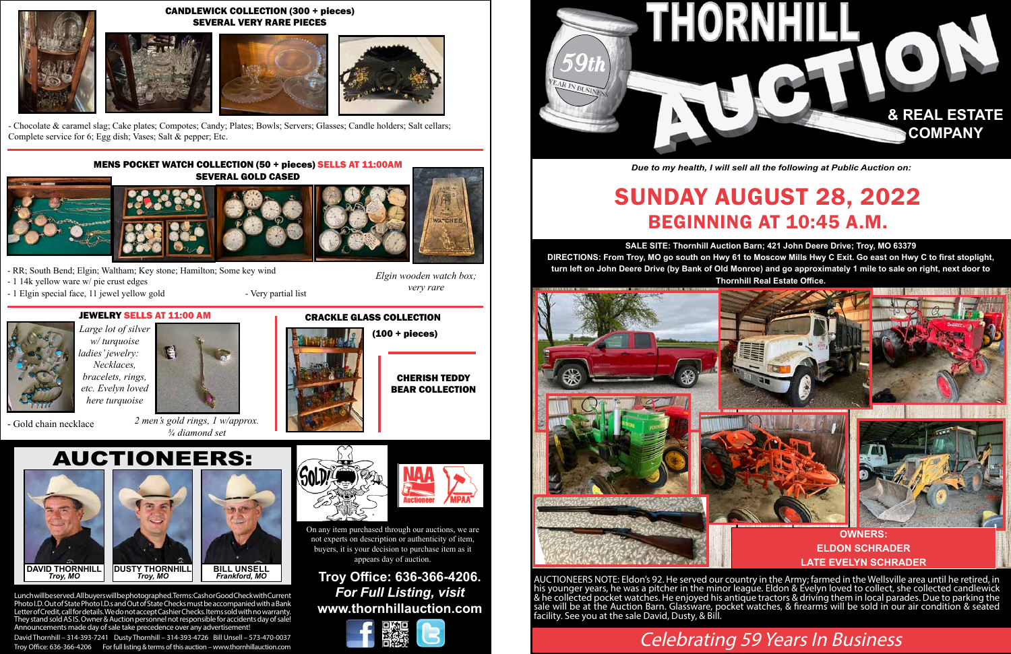# AUCTIONEERS:



David Thornhill – 314-393-7241 Dusty Thornhill – 314-393-4726 Bill Unsell – 573-470-0037 Troy Office: 636-366-4206 For full listing & terms of this auction – www.thornhillauction.com

# **Troy Office: 636-366-4206.** *For Full Listing, visit* **www.thornhillauction.com**





# Celebrating 59 Years In Business

**SALE SITE: Thornhill Auction Barn; 421 John Deere Drive; Troy, MO 63379 DIRECTIONS: From Troy, MO go south on Hwy 61 to Moscow Mills Hwy C Exit. Go east on Hwy C to first stoplight, turn left on John Deere Drive (by Bank of Old Monroe) and go approximately 1 mile to sale on right, next door to Thornhill Real Estate Office.**

# SUNDAY AUGUST 28, 2022 BEGINNING AT 10:45 A.M.

- RR; South Bend; Elgin; Waltham; Key stone; Hamilton; Some key wind
- 1 14k yellow ware w/ pie crust edges
- 1 Elgin special face, 11 jewel yellow gold Very partial list



AUCTIONEERS NOTE: Eldon's 92. He served our country in the Army; farmed in the Wellsville area until he retired, in his younger years, he was a pitcher in the minor leagúe. Eldon & Évelyn loved to collect, she collected candlewick & he collected pocket watches. He enjoyed his antique tractors & driving them in local parades. Due to parking the sale will be at the Auction Barn. Glassware, pocket watches, & firearms will be sold in our air condition & seated facility. See you at the sale David, Dusty, & Bill.



*Due to my health, I will sell all the following at Public Auction on:*

On any item purchased through our auctions, we are not experts on description or authenticity of item, buyers, it is your decision to purchase item as it appears day of auction.





*2 men's gold rings, 1 w/approx. ¾ diamond set* 

- Gold chain necklace





## CANDLEWICK COLLECTION (300 + pieces) SEVERAL VERY RARE PIECES













- Chocolate & caramel slag; Cake plates; Compotes; Candy; Plates; Bowls; Servers; Glasses; Candle holders; Salt cellars; Complete service for 6; Egg dish; Vases; Salt & pepper; Etc.

### MENS POCKET WATCH COLLECTION (50 + pieces) SELLS AT 11:00AM SEVERAL GOLD CASED







## *Elgin wooden watch box; very rare*

# (100 + pieces)



# **LATE EVELYN SCHRADER**